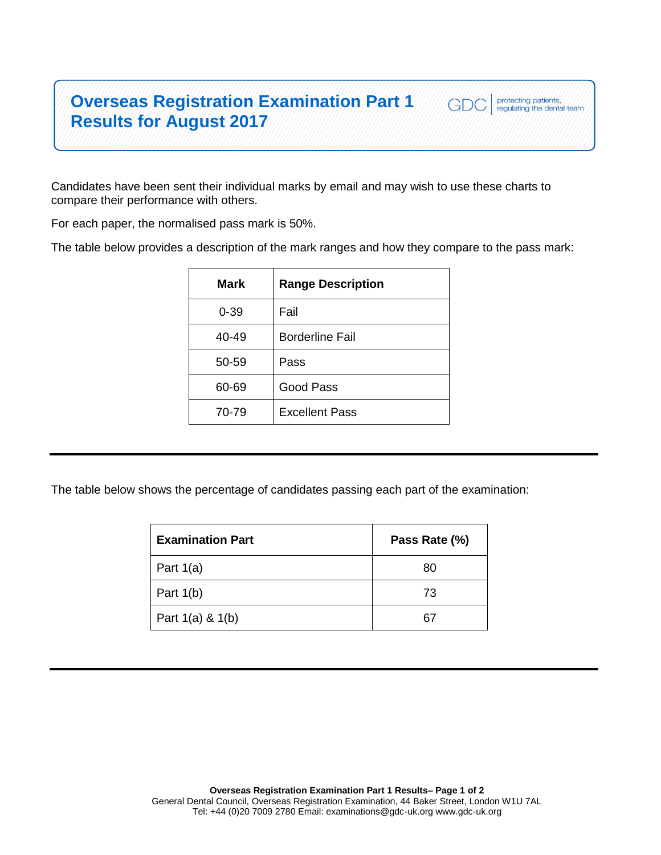## **Overseas Registration Examination Part 1 Results for August 2017**

Candidates have been sent their individual marks by email and may wish to use these charts to compare their performance with others.

For each paper, the normalised pass mark is 50%.

The table below provides a description of the mark ranges and how they compare to the pass mark:

protecting patients,<br>regulating the dental team

GDC

| Mark     | <b>Range Description</b> |
|----------|--------------------------|
| $0 - 39$ | Fail                     |
| 40-49    | <b>Borderline Fail</b>   |
| 50-59    | Pass                     |
| 60-69    | Good Pass                |
| 70-79    | <b>Excellent Pass</b>    |
|          |                          |

The table below shows the percentage of candidates passing each part of the examination:

| <b>Examination Part</b> | Pass Rate (%) |
|-------------------------|---------------|
| Part $1(a)$             | 80            |
| Part $1(b)$             | 73            |
| Part $1(a)$ & $1(b)$    | 67            |